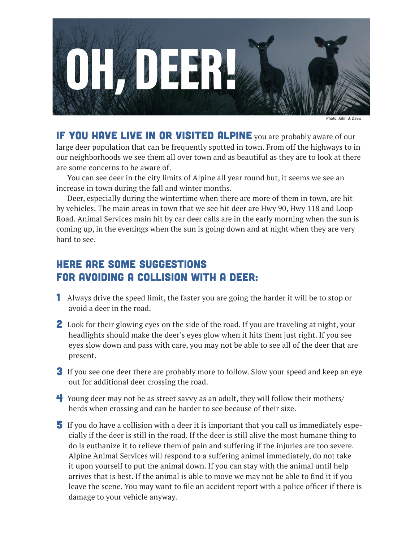

Photo: John B. Day

IF YOU HAVE LIVE IN OR VISITED ALPINE you are probably aware of our large deer population that can be frequently spotted in town. From off the highways to in our neighborhoods we see them all over town and as beautiful as they are to look at there are some concerns to be aware of.

You can see deer in the city limits of Alpine all year round but, it seems we see an increase in town during the fall and winter months.

Deer, especially during the wintertime when there are more of them in town, are hit by vehicles. The main areas in town that we see hit deer are Hwy 90, Hwy 118 and Loop Road. Animal Services main hit by car deer calls are in the early morning when the sun is coming up, in the evenings when the sun is going down and at night when they are very hard to see.

### Here are some suggestions for avoiding a collision with a deer:

- 1 Always drive the speed limit, the faster you are going the harder it will be to stop or avoid a deer in the road.
- 2 Look for their glowing eyes on the side of the road. If you are traveling at night, your headlights should make the deer's eyes glow when it hits them just right. If you see eyes slow down and pass with care, you may not be able to see all of the deer that are present.
- 3 If you see one deer there are probably more to follow. Slow your speed and keep an eye out for additional deer crossing the road.
- 4 Young deer may not be as street savvy as an adult, they will follow their mothers/ herds when crossing and can be harder to see because of their size.
- 5 If you do have a collision with a deer it is important that you call us immediately especially if the deer is still in the road. If the deer is still alive the most humane thing to do is euthanize it to relieve them of pain and suffering if the injuries are too severe. Alpine Animal Services will respond to a suffering animal immediately, do not take it upon yourself to put the animal down. If you can stay with the animal until help arrives that is best. If the animal is able to move we may not be able to find it if you leave the scene. You may want to file an accident report with a police officer if there is damage to your vehicle anyway.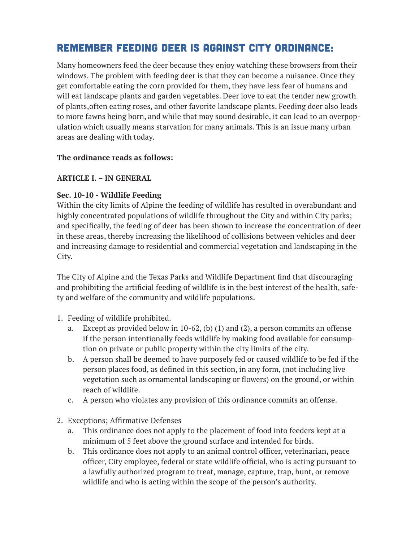## Remember feeding deer is against city ordinance:

Many homeowners feed the deer because they enjoy watching these browsers from their windows. The problem with feeding deer is that they can become a nuisance. Once they get comfortable eating the corn provided for them, they have less fear of humans and will eat landscape plants and garden vegetables. Deer love to eat the tender new growth of plants,often eating roses, and other favorite landscape plants. Feeding deer also leads to more fawns being born, and while that may sound desirable, it can lead to an overpopulation which usually means starvation for many animals. This is an issue many urban areas are dealing with today.

#### **The ordinance reads as follows:**

#### **ARTICLE I. – IN GENERAL**

#### **Sec. 10-10 - Wildlife Feeding**

Within the city limits of Alpine the feeding of wildlife has resulted in overabundant and highly concentrated populations of wildlife throughout the City and within City parks; and specifically, the feeding of deer has been shown to increase the concentration of deer in these areas, thereby increasing the likelihood of collisions between vehicles and deer and increasing damage to residential and commercial vegetation and landscaping in the City.

The City of Alpine and the Texas Parks and Wildlife Department find that discouraging and prohibiting the artificial feeding of wildlife is in the best interest of the health, safety and welfare of the community and wildlife populations.

- 1. Feeding of wildlife prohibited.
	- a. Except as provided below in 10-62, (b) (1) and (2), a person commits an offense if the person intentionally feeds wildlife by making food available for consump tion on private or public property within the city limits of the city.
	- b. A person shall be deemed to have purposely fed or caused wildlife to be fed if the person places food, as defined in this section, in any form, (not including live vegetation such as ornamental landscaping or flowers) on the ground, or within reach of wildlife.
	- c. A person who violates any provision of this ordinance commits an offense.
- 2. Exceptions; Affirmative Defenses
	- a. This ordinance does not apply to the placement of food into feeders kept at a minimum of 5 feet above the ground surface and intended for birds.
	- b. This ordinance does not apply to an animal control officer, veterinarian, peace officer, City employee, federal or state wildlife official, who is acting pursuant to a lawfully authorized program to treat, manage, capture, trap, hunt, or remove wildlife and who is acting within the scope of the person's authority.